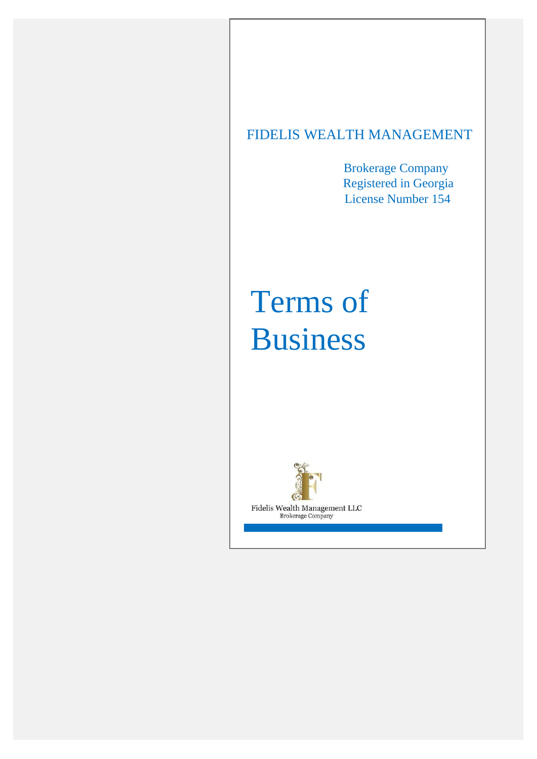# FIDELIS WEALTH MANAGEMENT

Brokerage Company Registered in Georgia License Number 154

# Terms of Business



Fidelis Wealth Management LLC **Brokerage Company**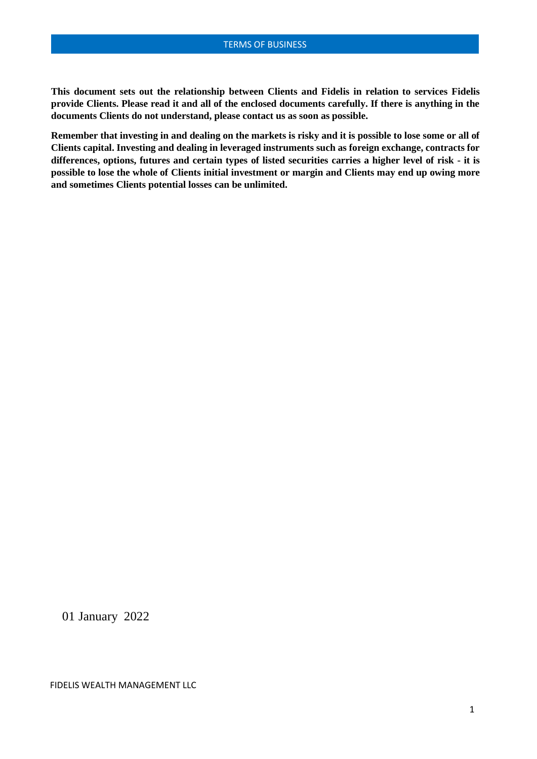**This document sets out the relationship between Clients and Fidelis in relation to services Fidelis provide Clients. Please read it and all of the enclosed documents carefully. If there is anything in the documents Clients do not understand, please contact us as soon as possible.**

**Remember that investing in and dealing on the markets is risky and it is possible to lose some or all of Clients capital. Investing and dealing in leveraged instruments such as foreign exchange, contracts for differences, options, futures and certain types of listed securities carries a higher level of risk - it is**  possible to lose the whole of Clients initial investment or margin and Clients may end up owing more **and sometimes Clients potential losses can be unlimited.**

01 January 2022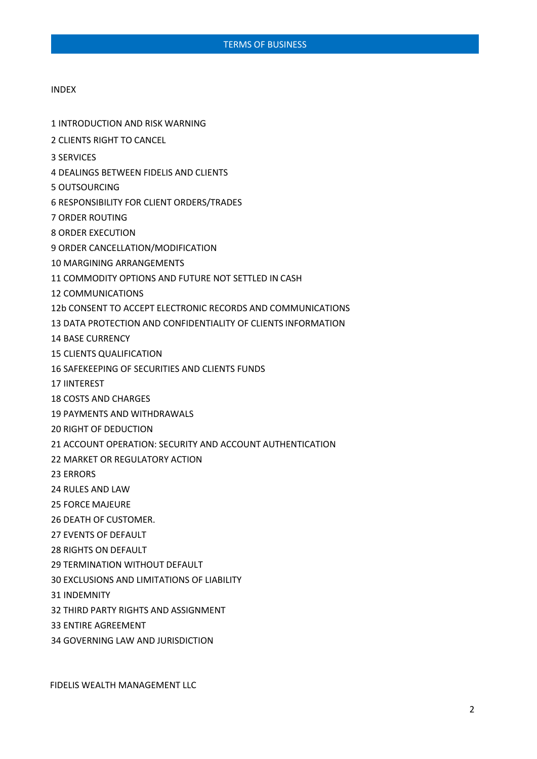#### INDEX

- INTRODUCTION AND RISK WARNING
- CLIENTS RIGHT TO CANCEL
- SERVICES
- DEALINGS BETWEEN FIDELIS AND CLIENTS
- OUTSOURCING
- RESPONSIBILITY FOR CLIENT ORDERS/TRADES
- ORDER ROUTING
- ORDER EXECUTION
- ORDER CANCELLATION/MODIFICATION
- MARGINING ARRANGEMENTS
- COMMODITY OPTIONS AND FUTURE NOT SETTLED IN CASH
- COMMUNICATIONS
- 12b CONSENT TO ACCEPT ELECTRONIC RECORDS AND COMMUNICATIONS
- DATA PROTECTION AND CONFIDENTIALITY OF CLIENTS INFORMATION
- BASE CURRENCY
- CLIENTS QUALIFICATION
- SAFEKEEPING OF SECURITIES AND CLIENTS FUNDS
- IINTEREST
- COSTS AND CHARGES
- PAYMENTS AND WITHDRAWALS
- RIGHT OF DEDUCTION
- ACCOUNT OPERATION: SECURITY AND ACCOUNT AUTHENTICATION
- MARKET OR REGULATORY ACTION
- ERRORS
- RULES AND LAW
- FORCE MAJEURE
- DEATH OF CUSTOMER.
- EVENTS OF DEFAULT
- RIGHTS ON DEFAULT
- TERMINATION WITHOUT DEFAULT
- EXCLUSIONS AND LIMITATIONS OF LIABILITY
- INDEMNITY
- THIRD PARTY RIGHTS AND ASSIGNMENT
- ENTIRE AGREEMENT
- GOVERNING LAW AND JURISDICTION

FIDELIS WEALTH MANAGEMENT LLC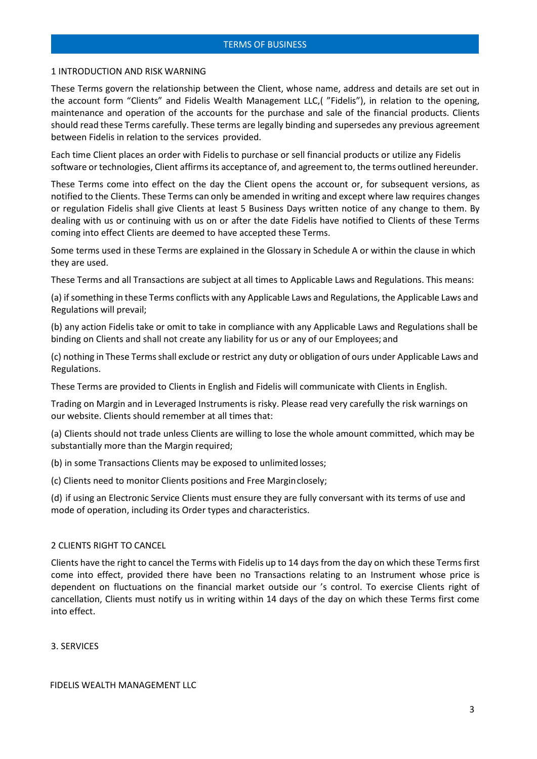#### 1 INTRODUCTION AND RISK WARNING

These Terms govern the relationship between the Client, whose name, address and details are set out in the account form "Clients" and Fidelis Wealth Management LLC,( "Fidelis"), in relation to the opening, maintenance and operation of the accounts for the purchase and sale of the financial products. Clients should read these Terms carefully. These terms are legally binding and supersedes any previous agreement between Fidelis in relation to the services provided.

Each time Client places an order with Fidelis to purchase or sell financial products or utilize any Fidelis software or technologies, Client affirms its acceptance of, and agreement to, the terms outlined hereunder.

These Terms come into effect on the day the Client opens the account or, for subsequent versions, as notified to the Clients. These Terms can only be amended in writing and except where law requires changes or regulation Fidelis shall give Clients at least 5 Business Days written notice of any change to them. By dealing with us or continuing with us on or after the date Fidelis have notified to Clients of these Terms coming into effect Clients are deemed to have accepted these Terms.

Some terms used in these Terms are explained in the Glossary in Schedule A or within the clause in which they are used.

These Terms and all Transactions are subject at all times to Applicable Laws and Regulations. This means:

(a) ifsomething in these Terms conflicts with any Applicable Laws and Regulations, the Applicable Laws and Regulations will prevail;

(b) any action Fidelis take or omit to take in compliance with any Applicable Laws and Regulations shall be binding on Clients and shall not create any liability for us or any of our Employees; and

(c) nothing in These Termsshall exclude or restrict any duty or obligation of ours under Applicable Laws and Regulations.

These Terms are provided to Clients in English and Fidelis will communicate with Clients in English.

Trading on Margin and in Leveraged Instruments is risky. Please read very carefully the risk warnings on our website. Clients should remember at all times that:

(a) Clients should not trade unless Clients are willing to lose the whole amount committed, which may be substantially more than the Margin required;

(b) in some Transactions Clients may be exposed to unlimited losses;

(c) Clients need to monitor Clients positions and Free Marginclosely;

(d) if using an Electronic Service Clients must ensure they are fully conversant with its terms of use and mode of operation, including its Order types and characteristics.

#### 2 CLIENTS RIGHT TO CANCEL

Clients have the right to cancel the Terms with Fidelis up to 14 days from the day on which these Terms first come into effect, provided there have been no Transactions relating to an Instrument whose price is dependent on fluctuations on the financial market outside our 's control. To exercise Clients right of cancellation, Clients must notify us in writing within 14 days of the day on which these Terms first come into effect.

3. SERVICES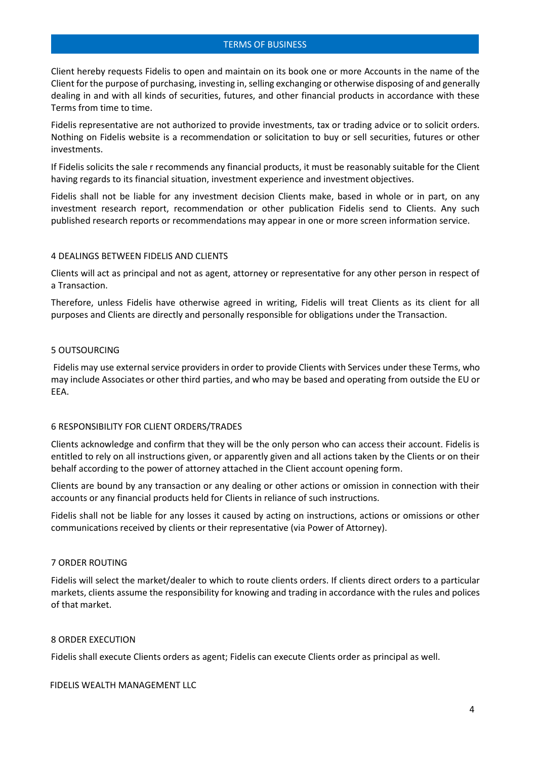Client hereby requests Fidelis to open and maintain on its book one or more Accounts in the name of the Client forthe purpose of purchasing, investing in, selling exchanging or otherwise disposing of and generally dealing in and with all kinds of securities, futures, and other financial products in accordance with these Terms from time to time.

Fidelis representative are not authorized to provide investments, tax or trading advice or to solicit orders. Nothing on Fidelis website is a recommendation or solicitation to buy or sell securities, futures or other investments.

If Fidelis solicits the sale r recommends any financial products, it must be reasonably suitable for the Client having regards to its financial situation, investment experience and investment objectives.

Fidelis shall not be liable for any investment decision Clients make, based in whole or in part, on any investment research report, recommendation or other publication Fidelis send to Clients. Any such published research reports or recommendations may appear in one or more screen information service.

#### 4 DEALINGS BETWEEN FIDELIS AND CLIENTS

Clients will act as principal and not as agent, attorney or representative for any other person in respect of a Transaction.

Therefore, unless Fidelis have otherwise agreed in writing, Fidelis will treat Clients as its client for all purposes and Clients are directly and personally responsible for obligations under the Transaction.

### 5 OUTSOURCING

Fidelis may use external service providers in order to provide Clients with Services under these Terms, who may include Associates or other third parties, and who may be based and operating from outside the EU or EEA.

# 6 RESPONSIBILITY FOR CLIENT ORDERS/TRADES

Clients acknowledge and confirm that they will be the only person who can access their account. Fidelis is entitled to rely on all instructions given, or apparently given and all actions taken by the Clients or on their behalf according to the power of attorney attached in the Client account opening form.

Clients are bound by any transaction or any dealing or other actions or omission in connection with their accounts or any financial products held for Clients in reliance of such instructions.

Fidelis shall not be liable for any losses it caused by acting on instructions, actions or omissions or other communications received by clients or their representative (via Power of Attorney).

# 7 ORDER ROUTING

Fidelis will select the market/dealer to which to route clients orders. If clients direct orders to a particular markets, clients assume the responsibility for knowing and trading in accordance with the rules and polices of that market.

#### 8 ORDER EXECUTION

Fidelis shall execute Clients orders as agent; Fidelis can execute Clients order as principal as well.

#### FIDELIS WEALTH MANAGEMENT LLC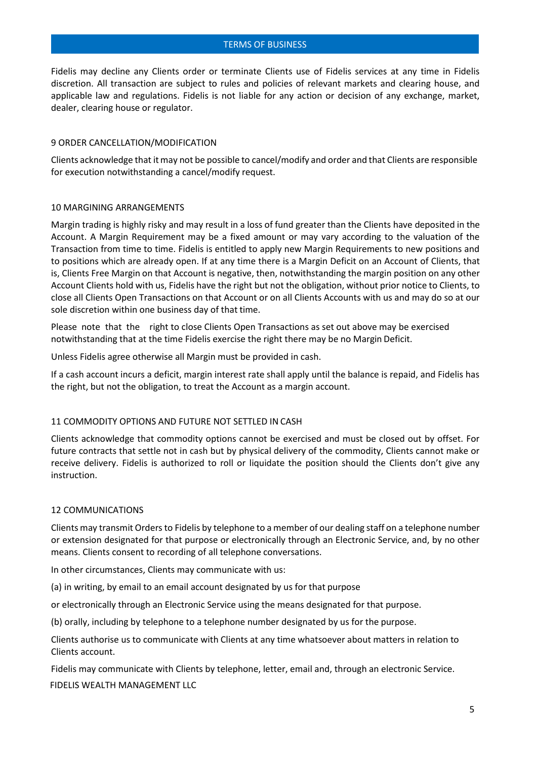Fidelis may decline any Clients order or terminate Clients use of Fidelis services at any time in Fidelis discretion. All transaction are subject to rules and policies of relevant markets and clearing house, and applicable law and regulations. Fidelis is not liable for any action or decision of any exchange, market, dealer, clearing house or regulator.

#### 9 ORDER CANCELLATION/MODIFICATION

Clients acknowledge that itmay not be possible to cancel/modify and order and that Clients are responsible for execution notwithstanding a cancel/modify request.

#### 10 MARGINING ARRANGEMENTS

Margin trading is highly risky and may result in a loss of fund greater than the Clients have deposited in the Account. A Margin Requirement may be a fixed amount or may vary according to the valuation of the Transaction from time to time. Fidelis is entitled to apply new Margin Requirements to new positions and to positions which are already open. If at any time there is a Margin Deficit on an Account of Clients, that is, Clients Free Margin on that Account is negative, then, notwithstanding the margin position on any other Account Clients hold with us, Fidelis have the right but not the obligation, without prior notice to Clients, to close all Clients Open Transactions on that Account or on all Clients Accounts with us and may do so at our sole discretion within one business day of that time.

Please note that the right to close Clients Open Transactions as set out above may be exercised notwithstanding that at the time Fidelis exercise the right there may be no Margin Deficit.

Unless Fidelis agree otherwise all Margin must be provided in cash.

If a cash account incurs a deficit, margin interest rate shall apply until the balance is repaid, and Fidelis has the right, but not the obligation, to treat the Account as a margin account.

#### 11 COMMODITY OPTIONS AND FUTURE NOT SETTLED IN CASH

Clients acknowledge that commodity options cannot be exercised and must be closed out by offset. For future contracts that settle not in cash but by physical delivery of the commodity, Clients cannot make or receive delivery. Fidelis is authorized to roll or liquidate the position should the Clients don't give any instruction.

#### 12 COMMUNICATIONS

Clients may transmit Orders to Fidelis by telephone to a member of our dealing staff on a telephone number or extension designated for that purpose or electronically through an Electronic Service, and, by no other means. Clients consent to recording of all telephone conversations.

In other circumstances, Clients may communicate with us:

(a) in writing, by email to an email account designated by us for that purpose

or electronically through an Electronic Service using the means designated for that purpose.

(b) orally, including by telephone to a telephone number designated by us for the purpose.

Clients authorise us to communicate with Clients at any time whatsoever about matters in relation to Clients account.

FIDELIS WEALTH MANAGEMENT LLC Fidelis may communicate with Clients by telephone, letter, email and, through an electronic Service.

5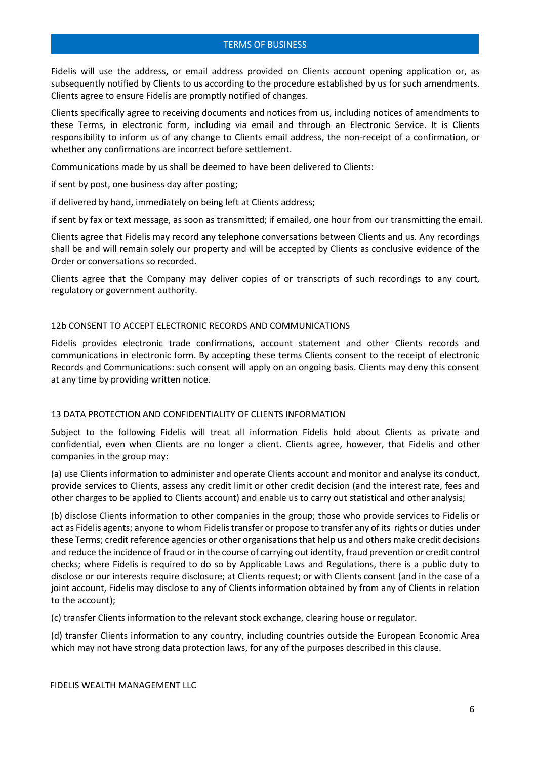Fidelis will use the address, or email address provided on Clients account opening application or, as subsequently notified by Clients to us according to the procedure established by us for such amendments. Clients agree to ensure Fidelis are promptly notified of changes.

Clients specifically agree to receiving documents and notices from us, including notices of amendments to these Terms, in electronic form, including via email and through an Electronic Service. It is Clients responsibility to inform us of any change to Clients email address, the non-receipt of a confirmation, or whether any confirmations are incorrect before settlement.

Communications made by us shall be deemed to have been delivered to Clients:

if sent by post, one business day after posting;

if delivered by hand, immediately on being left at Clients address;

if sent by fax or text message, as soon as transmitted; if emailed, one hour from our transmitting the email.

Clients agree that Fidelis may record any telephone conversations between Clients and us. Any recordings shall be and will remain solely our property and will be accepted by Clients as conclusive evidence of the Order or conversations so recorded.

Clients agree that the Company may deliver copies of or transcripts of such recordings to any court, regulatory or government authority.

#### 12b CONSENT TO ACCEPT ELECTRONIC RECORDS AND COMMUNICATIONS

Fidelis provides electronic trade confirmations, account statement and other Clients records and communications in electronic form. By accepting these terms Clients consent to the receipt of electronic Records and Communications: such consent will apply on an ongoing basis. Clients may deny this consent at any time by providing written notice.

# 13 DATA PROTECTION AND CONFIDENTIALITY OF CLIENTS INFORMATION

Subject to the following Fidelis will treat all information Fidelis hold about Clients as private and confidential, even when Clients are no longer a client. Clients agree, however, that Fidelis and other companies in the group may:

(a) use Clients information to administer and operate Clients account and monitor and analyse its conduct, provide services to Clients, assess any credit limit or other credit decision (and the interest rate, fees and other charges to be applied to Clients account) and enable us to carry out statistical and other analysis;

(b) disclose Clients information to other companies in the group; those who provide services to Fidelis or act as Fidelis agents; anyone to whom Fidelistransfer or propose to transfer any of its rights or duties under these Terms; credit reference agencies or other organisationsthat help us and others make credit decisions and reduce the incidence of fraud or in the course of carrying out identity, fraud prevention or credit control checks; where Fidelis is required to do so by Applicable Laws and Regulations, there is a public duty to disclose or our interests require disclosure; at Clients request; or with Clients consent (and in the case of a joint account, Fidelis may disclose to any of Clients information obtained by from any of Clients in relation to the account);

(c) transfer Clients information to the relevant stock exchange, clearing house or regulator.

(d) transfer Clients information to any country, including countries outside the European Economic Area which may not have strong data protection laws, for any of the purposes described in this clause.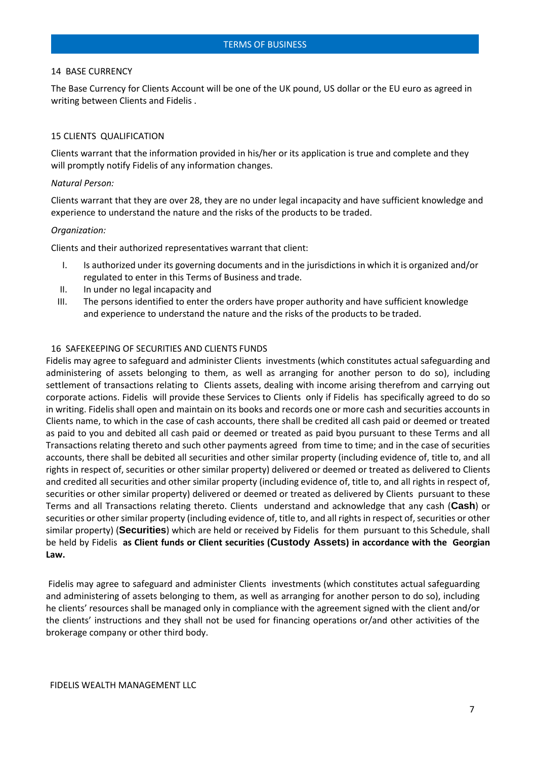#### 14 BASE CURRENCY

The Base Currency for Clients Account will be one of the UK pound, US dollar or the EU euro as agreed in writing between Clients and Fidelis .

#### 15 CLIENTS QUALIFICATION

Clients warrant that the information provided in his/her or its application is true and complete and they will promptly notify Fidelis of any information changes.

#### *Natural Person:*

Clients warrant that they are over 28, they are no under legal incapacity and have sufficient knowledge and experience to understand the nature and the risks of the products to be traded.

#### *Organization:*

Clients and their authorized representatives warrant that client:

- I. Is authorized under its governing documents and in the jurisdictions in which it is organized and/or regulated to enter in this Terms of Business and trade.
- II. In under no legal incapacity and
- III. The persons identified to enter the orders have proper authority and have sufficient knowledge and experience to understand the nature and the risks of the products to be traded.

#### 16 SAFEKEEPING OF SECURITIES AND CLIENTS FUNDS

Fidelis may agree to safeguard and administer Clients investments (which constitutes actual safeguarding and administering of assets belonging to them, as well as arranging for another person to do so), including settlement of transactions relating to Clients assets, dealing with income arising therefrom and carrying out corporate actions. Fidelis will provide these Services to Clients only if Fidelis has specifically agreed to do so in writing. Fidelis shall open and maintain on its books and records one or more cash and securities accounts in Clients name, to which in the case of cash accounts, there shall be credited all cash paid or deemed or treated as paid to you and debited all cash paid or deemed or treated as paid byou pursuant to these Terms and all Transactions relating thereto and such other payments agreed from time to time; and in the case of securities accounts, there shall be debited all securities and other similar property (including evidence of, title to, and all rights in respect of, securities or other similar property) delivered or deemed or treated as delivered to Clients and credited all securities and other similar property (including evidence of, title to, and all rights in respect of, securities or other similar property) delivered or deemed or treated as delivered by Clients pursuant to these Terms and all Transactions relating thereto. Clients understand and acknowledge that any cash (**Cash**) or securities or other similar property (including evidence of, title to, and all rights in respect of, securities or other similar property) (**Securities**) which are held or received by Fidelis for them pursuant to this Schedule, shall be held by Fidelis **as Client funds or Client securities (Custody Assets) in accordance with the Georgian Law.**

Fidelis may agree to safeguard and administer Clients investments (which constitutes actual safeguarding and administering of assets belonging to them, as well as arranging for another person to do so), including he clients' resources shall be managed only in compliance with the agreement signed with the client and/or the clients' instructions and they shall not be used for financing operations or/and other activities of the brokerage company or other third body.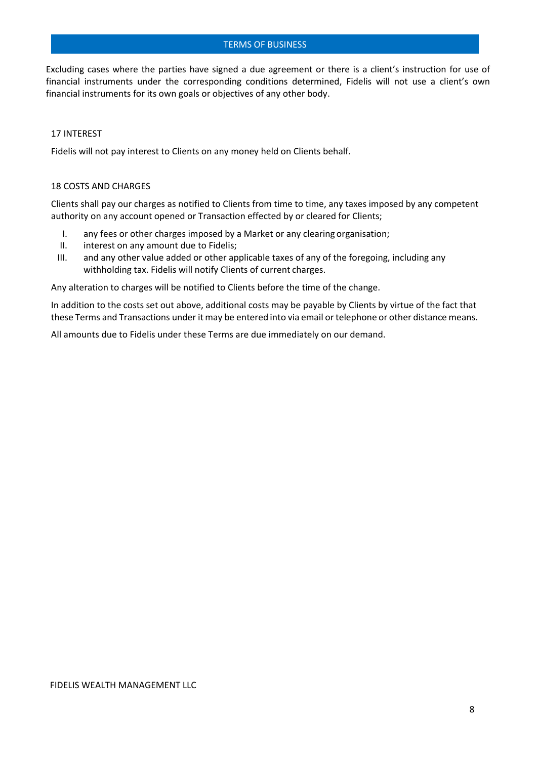Excluding cases where the parties have signed a due agreement or there is a client's instruction for use of financial instruments under the corresponding conditions determined, Fidelis will not use a client's own financial instruments for its own goals or objectives of any other body.

# 17 INTEREST

Fidelis will not pay interest to Clients on any money held on Clients behalf.

#### 18 COSTS AND CHARGES

Clients shall pay our charges as notified to Clients from time to time, any taxes imposed by any competent authority on any account opened or Transaction effected by or cleared for Clients;

- I. any fees or other charges imposed by a Market or any clearing organisation;
- II. interest on any amount due to Fidelis;
- III. and any other value added or other applicable taxes of any of the foregoing, including any withholding tax. Fidelis will notify Clients of current charges.

Any alteration to charges will be notified to Clients before the time of the change.

In addition to the costs set out above, additional costs may be payable by Clients by virtue of the fact that these Terms and Transactions under it may be entered into via email or telephone or other distance means.

All amounts due to Fidelis under these Terms are due immediately on our demand.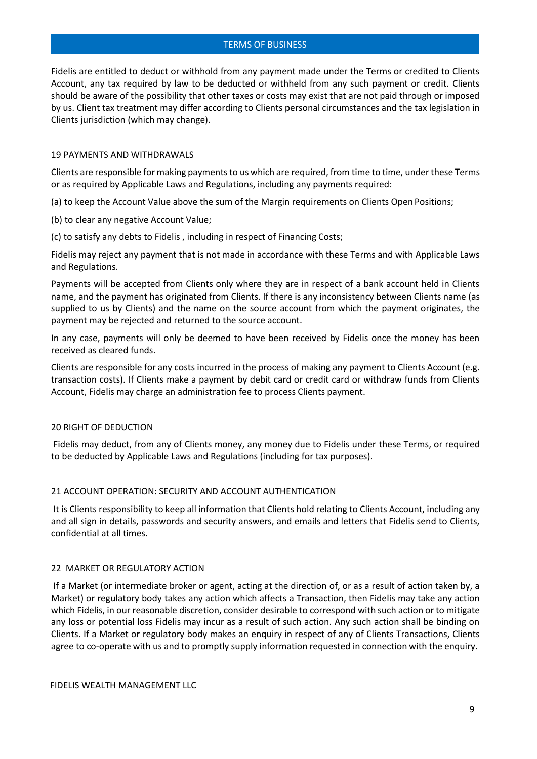Fidelis are entitled to deduct or withhold from any payment made under the Terms or credited to Clients Account, any tax required by law to be deducted or withheld from any such payment or credit. Clients should be aware of the possibility that other taxes or costs may exist that are not paid through or imposed by us. Client tax treatment may differ according to Clients personal circumstances and the tax legislation in Clients jurisdiction (which may change).

#### 19 PAYMENTS AND WITHDRAWALS

Clients are responsible for making payments to us which are required, from time to time, under these Terms or as required by Applicable Laws and Regulations, including any payments required:

(a) to keep the Account Value above the sum of the Margin requirements on Clients Open Positions;

(b) to clear any negative Account Value;

(c) to satisfy any debts to Fidelis , including in respect of Financing Costs;

Fidelis may reject any payment that is not made in accordance with these Terms and with Applicable Laws and Regulations.

Payments will be accepted from Clients only where they are in respect of a bank account held in Clients name, and the payment has originated from Clients. If there is any inconsistency between Clients name (as supplied to us by Clients) and the name on the source account from which the payment originates, the payment may be rejected and returned to the source account.

In any case, payments will only be deemed to have been received by Fidelis once the money has been received as cleared funds.

Clients are responsible for any costs incurred in the process of making any payment to Clients Account (e.g. transaction costs). If Clients make a payment by debit card or credit card or withdraw funds from Clients Account, Fidelis may charge an administration fee to process Clients payment.

# 20 RIGHT OF DEDUCTION

Fidelis may deduct, from any of Clients money, any money due to Fidelis under these Terms, or required to be deducted by Applicable Laws and Regulations (including for tax purposes).

# 21 ACCOUNT OPERATION: SECURITY AND ACCOUNT AUTHENTICATION

It is Clients responsibility to keep all information that Clients hold relating to Clients Account, including any and all sign in details, passwords and security answers, and emails and letters that Fidelis send to Clients, confidential at all times.

#### 22 MARKET OR REGULATORY ACTION

If a Market (or intermediate broker or agent, acting at the direction of, or as a result of action taken by, a Market) or regulatory body takes any action which affects a Transaction, then Fidelis may take any action which Fidelis, in our reasonable discretion, consider desirable to correspond with such action or to mitigate any loss or potential loss Fidelis may incur as a result of such action. Any such action shall be binding on Clients. If a Market or regulatory body makes an enquiry in respect of any of Clients Transactions, Clients agree to co-operate with us and to promptly supply information requested in connection with the enquiry.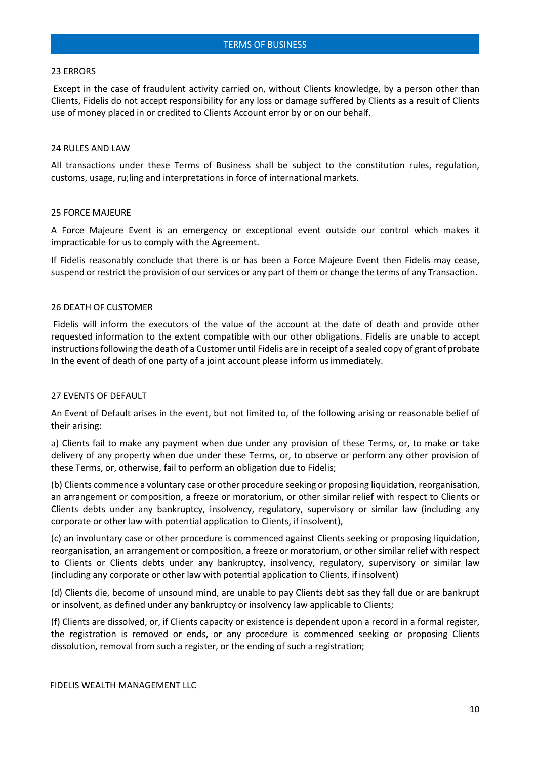#### 23 ERRORS

Except in the case of fraudulent activity carried on, without Clients knowledge, by a person other than Clients, Fidelis do not accept responsibility for any loss or damage suffered by Clients as a result of Clients use of money placed in or credited to Clients Account error by or on our behalf.

#### 24 RULES AND LAW

All transactions under these Terms of Business shall be subject to the constitution rules, regulation, customs, usage, ru;ling and interpretations in force of international markets.

# 25 FORCE MAJEURE

A Force Majeure Event is an emergency or exceptional event outside our control which makes it impracticable for us to comply with the Agreement.

If Fidelis reasonably conclude that there is or has been a Force Majeure Event then Fidelis may cease, suspend or restrict the provision of our services or any part of them or change the terms of any Transaction.

#### 26 DEATH OF CUSTOMER

Fidelis will inform the executors of the value of the account at the date of death and provide other requested information to the extent compatible with our other obligations. Fidelis are unable to accept instructions following the death of a Customer until Fidelis are in receipt of a sealed copy of grant of probate In the event of death of one party of a joint account please inform usimmediately.

# 27 EVENTS OF DEFAULT

An Event of Default arises in the event, but not limited to, of the following arising or reasonable belief of their arising:

a) Clients fail to make any payment when due under any provision of these Terms, or, to make or take delivery of any property when due under these Terms, or, to observe or perform any other provision of these Terms, or, otherwise, fail to perform an obligation due to Fidelis;

(b) Clients commence a voluntary case or other procedure seeking or proposing liquidation, reorganisation, an arrangement or composition, a freeze or moratorium, or other similar relief with respect to Clients or Clients debts under any bankruptcy, insolvency, regulatory, supervisory or similar law (including any corporate or other law with potential application to Clients, if insolvent),

(c) an involuntary case or other procedure is commenced against Clients seeking or proposing liquidation, reorganisation, an arrangement or composition, a freeze or moratorium, or other similar relief with respect to Clients or Clients debts under any bankruptcy, insolvency, regulatory, supervisory or similar law (including any corporate or other law with potential application to Clients, if insolvent)

(d) Clients die, become of unsound mind, are unable to pay Clients debt sas they fall due or are bankrupt or insolvent, as defined under any bankruptcy or insolvency law applicable to Clients;

(f) Clients are dissolved, or, if Clients capacity or existence is dependent upon a record in a formal register, the registration is removed or ends, or any procedure is commenced seeking or proposing Clients dissolution, removal from such a register, or the ending of such a registration;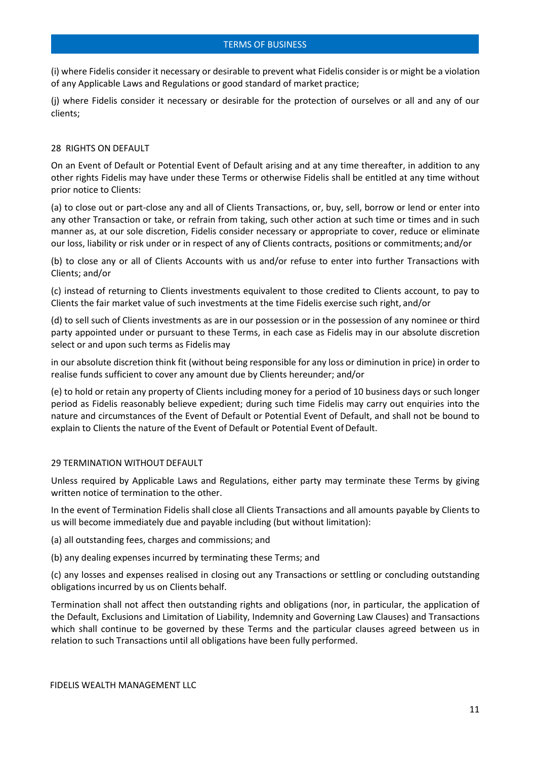(i) where Fidelis consider it necessary or desirable to prevent what Fidelis consider is or might be a violation of any Applicable Laws and Regulations or good standard of market practice;

(j) where Fidelis consider it necessary or desirable for the protection of ourselves or all and any of our clients;

#### 28 RIGHTS ON DEFAULT

On an Event of Default or Potential Event of Default arising and at any time thereafter, in addition to any other rights Fidelis may have under these Terms or otherwise Fidelis shall be entitled at any time without prior notice to Clients:

(a) to close out or part-close any and all of Clients Transactions, or, buy, sell, borrow or lend or enter into any other Transaction or take, or refrain from taking, such other action at such time or times and in such manner as, at our sole discretion, Fidelis consider necessary or appropriate to cover, reduce or eliminate our loss, liability or risk under or in respect of any of Clients contracts, positions or commitments; and/or

(b) to close any or all of Clients Accounts with us and/or refuse to enter into further Transactions with Clients; and/or

(c) instead of returning to Clients investments equivalent to those credited to Clients account, to pay to Clients the fair market value of such investments at the time Fidelis exercise such right, and/or

(d) to sell such of Clients investments as are in our possession or in the possession of any nominee or third party appointed under or pursuant to these Terms, in each case as Fidelis may in our absolute discretion select or and upon such terms as Fidelis may

in our absolute discretion think fit (without being responsible for any loss or diminution in price) in order to realise funds sufficient to cover any amount due by Clients hereunder; and/or

(e) to hold or retain any property of Clients including money for a period of 10 business days or such longer period as Fidelis reasonably believe expedient; during such time Fidelis may carry out enquiries into the nature and circumstances of the Event of Default or Potential Event of Default, and shall not be bound to explain to Clients the nature of the Event of Default or Potential Event of Default.

#### 29 TERMINATION WITHOUT DEFAULT

Unless required by Applicable Laws and Regulations, either party may terminate these Terms by giving written notice of termination to the other.

In the event of Termination Fidelis shall close all Clients Transactions and all amounts payable by Clients to us will become immediately due and payable including (but without limitation):

(a) all outstanding fees, charges and commissions; and

(b) any dealing expenses incurred by terminating these Terms; and

(c) any losses and expenses realised in closing out any Transactions or settling or concluding outstanding obligations incurred by us on Clients behalf.

Termination shall not affect then outstanding rights and obligations (nor, in particular, the application of the Default, Exclusions and Limitation of Liability, Indemnity and Governing Law Clauses) and Transactions which shall continue to be governed by these Terms and the particular clauses agreed between us in relation to such Transactions until all obligations have been fully performed.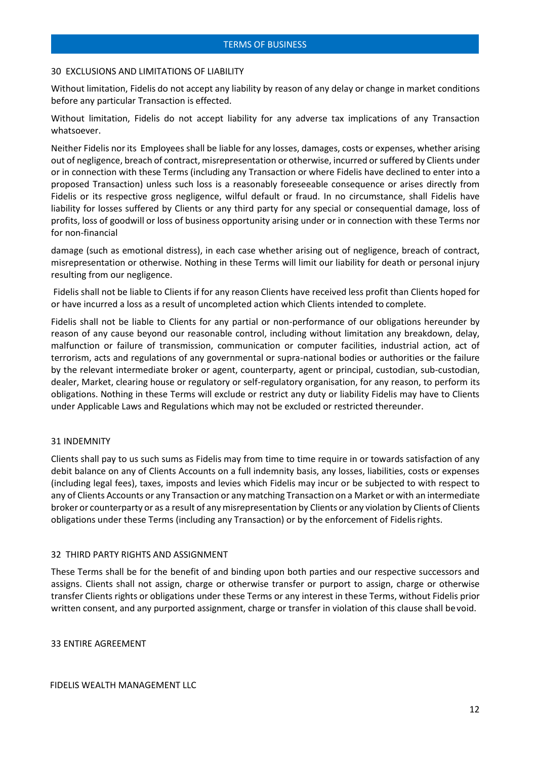#### 30 EXCLUSIONS AND LIMITATIONS OF LIABILITY

Without limitation, Fidelis do not accept any liability by reason of any delay or change in market conditions before any particular Transaction is effected.

Without limitation, Fidelis do not accept liability for any adverse tax implications of any Transaction whatsoever.

Neither Fidelis nor its Employees shall be liable for any losses, damages, costs or expenses, whether arising out of negligence, breach of contract, misrepresentation or otherwise, incurred orsuffered by Clients under or in connection with these Terms (including any Transaction or where Fidelis have declined to enter into a proposed Transaction) unless such loss is a reasonably foreseeable consequence or arises directly from Fidelis or its respective gross negligence, wilful default or fraud. In no circumstance, shall Fidelis have liability for losses suffered by Clients or any third party for any special or consequential damage, loss of profits, loss of goodwill or loss of business opportunity arising under or in connection with these Terms nor for non-financial

damage (such as emotional distress), in each case whether arising out of negligence, breach of contract, misrepresentation or otherwise. Nothing in these Terms will limit our liability for death or personal injury resulting from our negligence.

Fidelis shall not be liable to Clients if for any reason Clients have received less profit than Clients hoped for or have incurred a loss as a result of uncompleted action which Clients intended to complete.

Fidelis shall not be liable to Clients for any partial or non-performance of our obligations hereunder by reason of any cause beyond our reasonable control, including without limitation any breakdown, delay, malfunction or failure of transmission, communication or computer facilities, industrial action, act of terrorism, acts and regulations of any governmental or supra-national bodies or authorities or the failure by the relevant intermediate broker or agent, counterparty, agent or principal, custodian, sub-custodian, dealer, Market, clearing house or regulatory or self-regulatory organisation, for any reason, to perform its obligations. Nothing in these Terms will exclude or restrict any duty or liability Fidelis may have to Clients under Applicable Laws and Regulations which may not be excluded or restricted thereunder.

#### 31 INDEMNITY

Clients shall pay to us such sums as Fidelis may from time to time require in or towards satisfaction of any debit balance on any of Clients Accounts on a full indemnity basis, any losses, liabilities, costs or expenses (including legal fees), taxes, imposts and levies which Fidelis may incur or be subjected to with respect to any of Clients Accounts or any Transaction or any matching Transaction on a Market or with an intermediate broker or counterparty or as a result of anymisrepresentation by Clients or any violation by Clients of Clients obligations under these Terms (including any Transaction) or by the enforcement of Fidelisrights.

#### 32 THIRD PARTY RIGHTS AND ASSIGNMENT

These Terms shall be for the benefit of and binding upon both parties and our respective successors and assigns. Clients shall not assign, charge or otherwise transfer or purport to assign, charge or otherwise transfer Clients rights or obligations under these Terms or any interest in these Terms, without Fidelis prior written consent, and any purported assignment, charge or transfer in violation of this clause shall bevoid.

33 ENTIRE AGREEMENT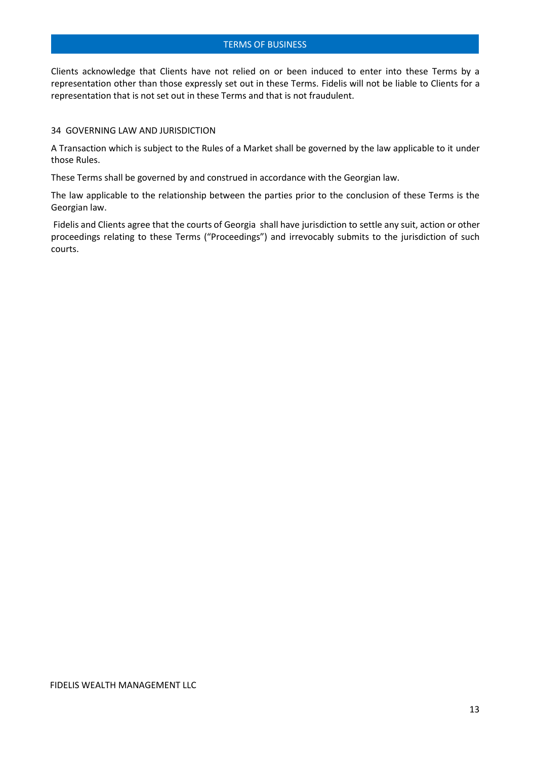Clients acknowledge that Clients have not relied on or been induced to enter into these Terms by a representation other than those expressly set out in these Terms. Fidelis will not be liable to Clients for a representation that is not set out in these Terms and that is not fraudulent.

#### 34 GOVERNING LAW AND JURISDICTION

A Transaction which is subject to the Rules of a Market shall be governed by the law applicable to it under those Rules.

These Terms shall be governed by and construed in accordance with the Georgian law.

The law applicable to the relationship between the parties prior to the conclusion of these Terms is the Georgian law.

Fidelis and Clients agree that the courts of Georgia shall have jurisdiction to settle any suit, action or other proceedings relating to these Terms ("Proceedings") and irrevocably submits to the jurisdiction of such courts.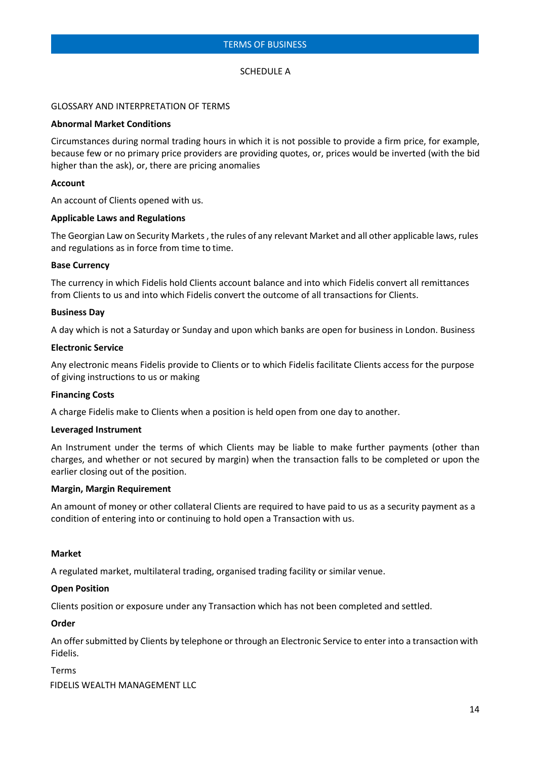#### SCHEDULE A

#### GLOSSARY AND INTERPRETATION OF TERMS

#### **Abnormal Market Conditions**

Circumstances during normal trading hours in which it is not possible to provide a firm price, for example, because few or no primary price providers are providing quotes, or, prices would be inverted (with the bid higher than the ask), or, there are pricing anomalies

#### **Account**

An account of Clients opened with us.

#### **Applicable Laws and Regulations**

The Georgian Law on Security Markets , the rules of any relevant Market and all other applicable laws, rules and regulations as in force from time to time.

#### **Base Currency**

The currency in which Fidelis hold Clients account balance and into which Fidelis convert all remittances from Clients to us and into which Fidelis convert the outcome of all transactions for Clients.

#### **Business Day**

A day which is not a Saturday or Sunday and upon which banks are open for business in London. Business

#### **Electronic Service**

Any electronic means Fidelis provide to Clients or to which Fidelis facilitate Clients access for the purpose of giving instructions to us or making

# **Financing Costs**

A charge Fidelis make to Clients when a position is held open from one day to another.

#### **Leveraged Instrument**

An Instrument under the terms of which Clients may be liable to make further payments (other than charges, and whether or not secured by margin) when the transaction falls to be completed or upon the earlier closing out of the position.

#### **Margin, Margin Requirement**

An amount of money or other collateral Clients are required to have paid to us as a security payment as a condition of entering into or continuing to hold open a Transaction with us.

#### **Market**

A regulated market, multilateral trading, organised trading facility or similar venue.

#### **Open Position**

Clients position or exposure under any Transaction which has not been completed and settled.

#### **Order**

An offer submitted by Clients by telephone or through an Electronic Service to enter into a transaction with Fidelis.

FIDELIS WEALTH MANAGEMENT LLC Terms